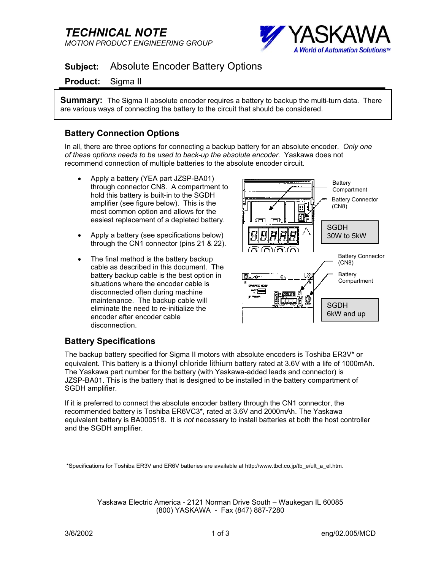# *TECHNICAL NOTE MOTION PRODUCT ENGINEERING GROUP*



## **Subject:** Absolute Encoder Battery Options

#### **Product:** Sigma II

**Summary:** The Sigma II absolute encoder requires a battery to backup the multi-turn data. There are various ways of connecting the battery to the circuit that should be considered.

## **Battery Connection Options**

In all, there are three options for connecting a backup battery for an absolute encoder. *Only one of these options needs to be used to back-up the absolute encoder.* Yaskawa does not recommend connection of multiple batteries to the absolute encoder circuit.

- Apply a battery (YEA part JZSP-BA01) through connector CN8. A compartment to hold this battery is built-in to the SGDH amplifier (see figure below). This is the most common option and allows for the easiest replacement of a depleted battery.
- Apply a battery (see specifications below) through the CN1 connector (pins 21 & 22).
- The final method is the battery backup cable as described in this document. The battery backup cable is the best option in situations where the encoder cable is disconnected often during machine maintenance. The backup cable will eliminate the need to re-initialize the encoder after encoder cable disconnection.



## **Battery Specifications**

The backup battery specified for Sigma II motors with absolute encoders is Toshiba ER3V\* or equivalent. This battery is a thionyl chloride lithium battery rated at 3.6V with a life of 1000mAh. The Yaskawa part number for the battery (with Yaskawa-added leads and connector) is JZSP-BA01. This is the battery that is designed to be installed in the battery compartment of SGDH amplifier.

If it is preferred to connect the absolute encoder battery through the CN1 connector, the recommended battery is Toshiba ER6VC3\*, rated at 3.6V and 2000mAh. The Yaskawa equivalent battery is BA000518. It is *not* necessary to install batteries at both the host controller and the SGDH amplifier.

\*Specifications for Toshiba ER3V and ER6V batteries are available at http://www.tbcl.co.jp/tb\_e/ult\_a\_el.htm.

Yaskawa Electric America - 2121 Norman Drive South – Waukegan IL 60085 (800) YASKAWA - Fax (847) 887-7280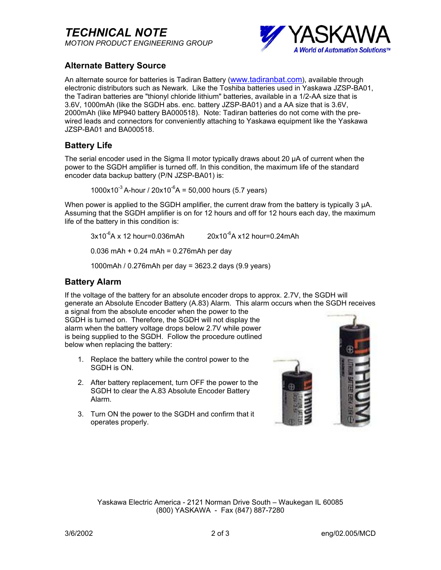*TECHNICAL NOTE MOTION PRODUCT ENGINEERING GROUP*



## **Alternate Battery Source**

An alternate source for batteries is Tadiran Battery (www.tadiranbat.com), available through electronic distributors such as Newark. Like the Toshiba batteries used in Yaskawa JZSP-BA01, the Tadiran batteries are "thionyl chloride lithium" batteries, available in a 1/2-AA size that is 3.6V, 1000mAh (like the SGDH abs. enc. battery JZSP-BA01) and a AA size that is 3.6V, 2000mAh (like MP940 battery BA000518). Note: Tadiran batteries do not come with the prewired leads and connectors for conveniently attaching to Yaskawa equipment like the Yaskawa JZSP-BA01 and BA000518.

### **Battery Life**

The serial encoder used in the Sigma II motor typically draws about 20 µA of current when the power to the SGDH amplifier is turned off. In this condition, the maximum life of the standard encoder data backup battery (P/N JZSP-BA01) is:

1000x10 $^{-3}$  A-hour / 20x10 $^{-6}$ A = 50,000 hours (5.7 years)

When power is applied to the SGDH amplifier, the current draw from the battery is typically 3  $\mu$ A. Assuming that the SGDH amplifier is on for 12 hours and off for 12 hours each day, the maximum life of the battery in this condition is:

 $3x10^{-6}$ A x 12 hour=0.036mAh 20x10<sup>-6</sup>A x12 hour=0.24mAh

0.036 mAh + 0.24 mAh = 0.276mAh per day

1000mAh / 0.276mAh per day = 3623.2 days (9.9 years)

### **Battery Alarm**

If the voltage of the battery for an absolute encoder drops to approx. 2.7V, the SGDH will generate an Absolute Encoder Battery (A.83) Alarm. This alarm occurs when the SGDH receives

a signal from the absolute encoder when the power to the SGDH is turned on. Therefore, the SGDH will not display the alarm when the battery voltage drops below 2.7V while power is being supplied to the SGDH. Follow the procedure outlined below when replacing the battery:

- 1. Replace the battery while the control power to the SGDH is ON.
- 2. After battery replacement, turn OFF the power to the SGDH to clear the A.83 Absolute Encoder Battery Alarm.
- 3. Turn ON the power to the SGDH and confirm that it operates properly.



Yaskawa Electric America - 2121 Norman Drive South – Waukegan IL 60085 (800) YASKAWA - Fax (847) 887-7280